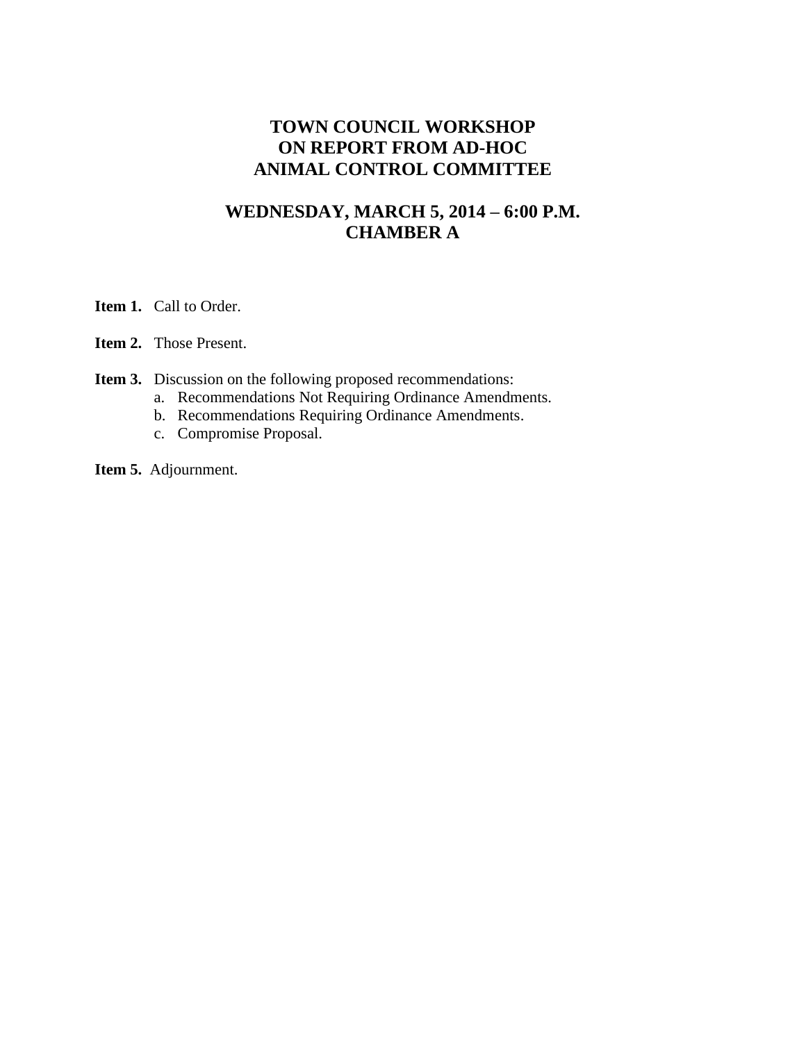# **TOWN COUNCIL WORKSHOP ON REPORT FROM AD-HOC ANIMAL CONTROL COMMITTEE**

## **WEDNESDAY, MARCH 5, 2014 – 6:00 P.M. CHAMBER A**

**Item 1.** Call to Order.

**Item 2.** Those Present.

**Item 3.** Discussion on the following proposed recommendations:

- a. Recommendations Not Requiring Ordinance Amendments.
- b. Recommendations Requiring Ordinance Amendments.
- c. Compromise Proposal.

**Item 5.** Adjournment.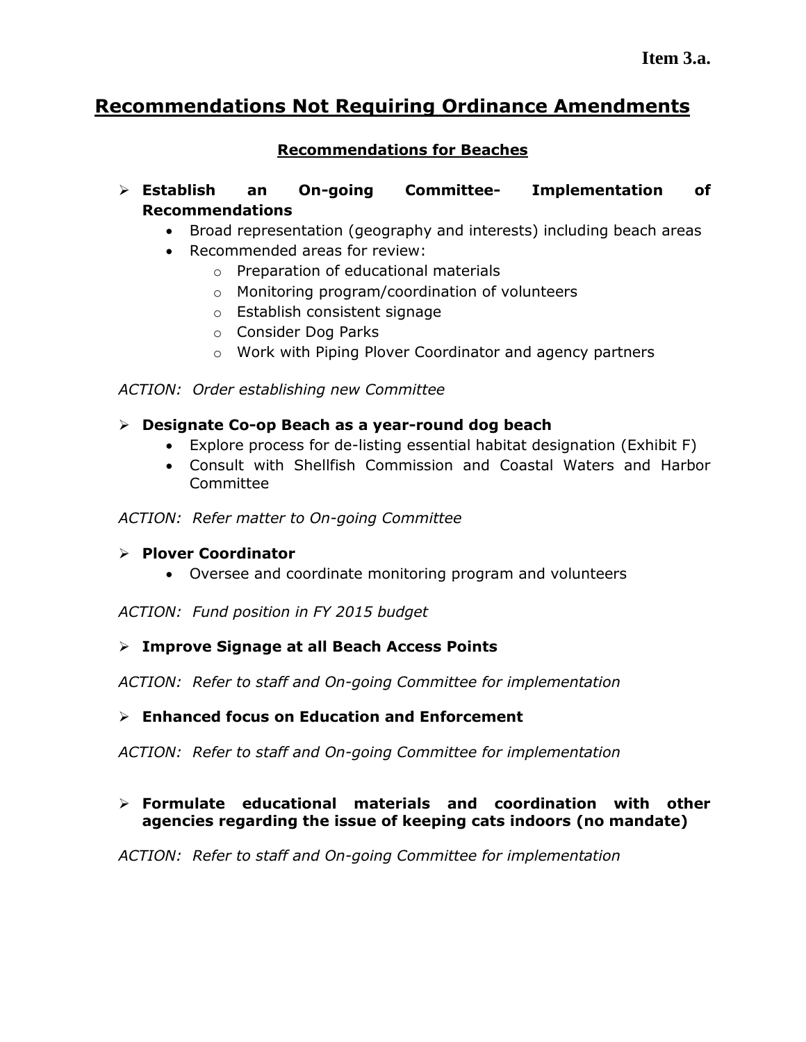# **Recommendations Not Requiring Ordinance Amendments**

## **Recommendations for Beaches**

## **Establish an On-going Committee- Implementation of Recommendations**

- Broad representation (geography and interests) including beach areas
- Recommended areas for review:
	- o Preparation of educational materials
	- o Monitoring program/coordination of volunteers
	- o Establish consistent signage
	- o Consider Dog Parks
	- o Work with Piping Plover Coordinator and agency partners

## *ACTION: Order establishing new Committee*

## **Designate Co-op Beach as a year-round dog beach**

- Explore process for de-listing essential habitat designation (Exhibit F)
- Consult with Shellfish Commission and Coastal Waters and Harbor Committee

*ACTION: Refer matter to On-going Committee*

### **Plover Coordinator**

Oversee and coordinate monitoring program and volunteers

*ACTION: Fund position in FY 2015 budget*

## **Improve Signage at all Beach Access Points**

*ACTION: Refer to staff and On-going Committee for implementation*

## **Enhanced focus on Education and Enforcement**

*ACTION: Refer to staff and On-going Committee for implementation*

### **Formulate educational materials and coordination with other agencies regarding the issue of keeping cats indoors (no mandate)**

*ACTION: Refer to staff and On-going Committee for implementation*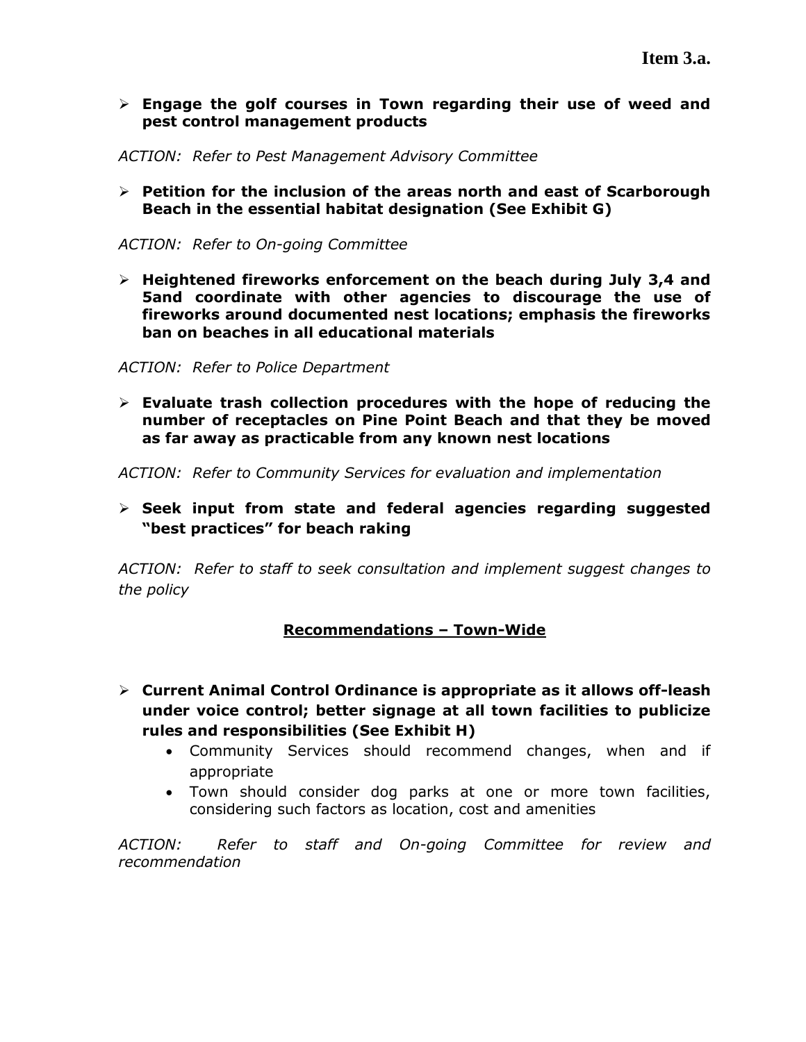#### **Engage the golf courses in Town regarding their use of weed and pest control management products**

*ACTION: Refer to Pest Management Advisory Committee*

 **Petition for the inclusion of the areas north and east of Scarborough Beach in the essential habitat designation (See Exhibit G)**

*ACTION: Refer to On-going Committee*

 **Heightened fireworks enforcement on the beach during July 3,4 and 5and coordinate with other agencies to discourage the use of fireworks around documented nest locations; emphasis the fireworks ban on beaches in all educational materials**

*ACTION: Refer to Police Department*

 **Evaluate trash collection procedures with the hope of reducing the number of receptacles on Pine Point Beach and that they be moved as far away as practicable from any known nest locations**

*ACTION: Refer to Community Services for evaluation and implementation*

 **Seek input from state and federal agencies regarding suggested "best practices" for beach raking**

*ACTION: Refer to staff to seek consultation and implement suggest changes to the policy*

#### **Recommendations – Town-Wide**

- **Current Animal Control Ordinance is appropriate as it allows off-leash under voice control; better signage at all town facilities to publicize rules and responsibilities (See Exhibit H)**
	- Community Services should recommend changes, when and if appropriate
	- Town should consider dog parks at one or more town facilities, considering such factors as location, cost and amenities

*ACTION: Refer to staff and On-going Committee for review and recommendation*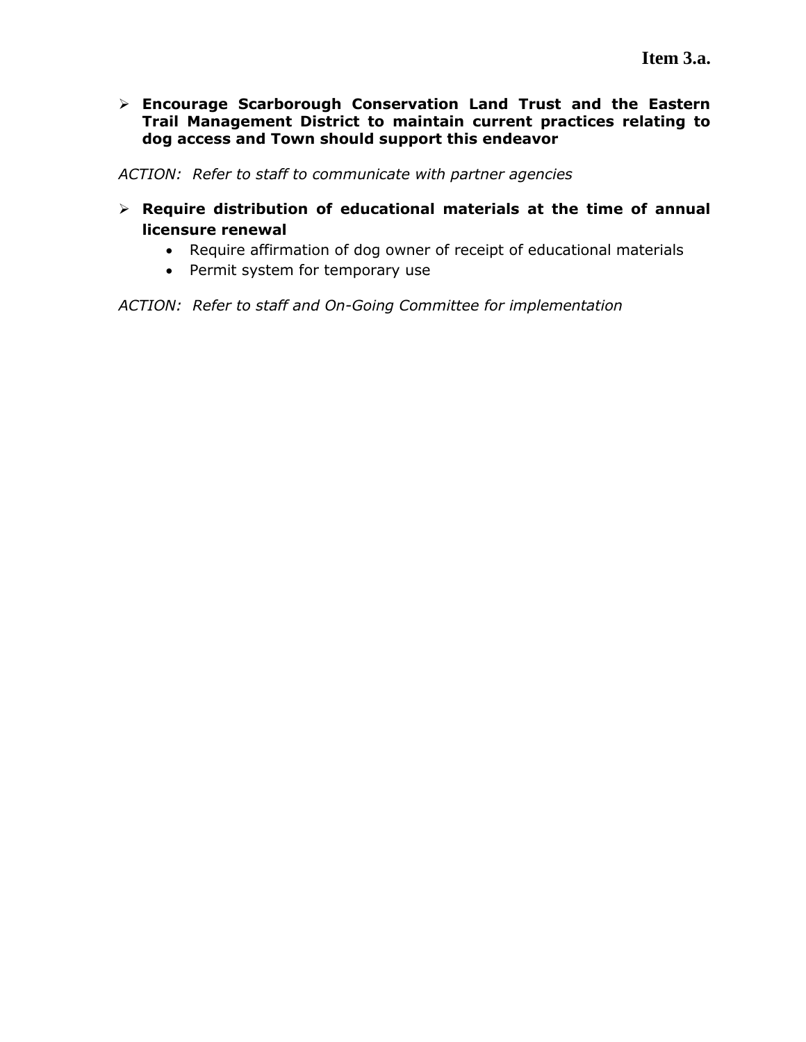**Encourage Scarborough Conservation Land Trust and the Eastern Trail Management District to maintain current practices relating to dog access and Town should support this endeavor**

*ACTION: Refer to staff to communicate with partner agencies*

- **Require distribution of educational materials at the time of annual licensure renewal**
	- Require affirmation of dog owner of receipt of educational materials
	- Permit system for temporary use

*ACTION: Refer to staff and On-Going Committee for implementation*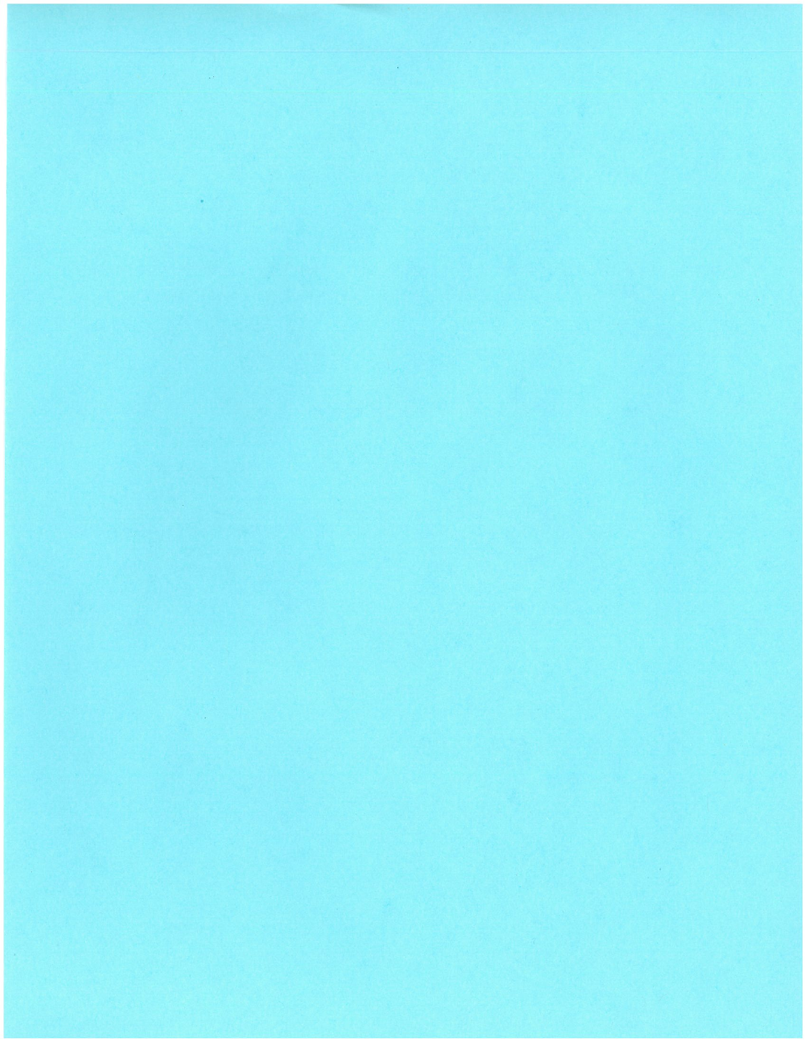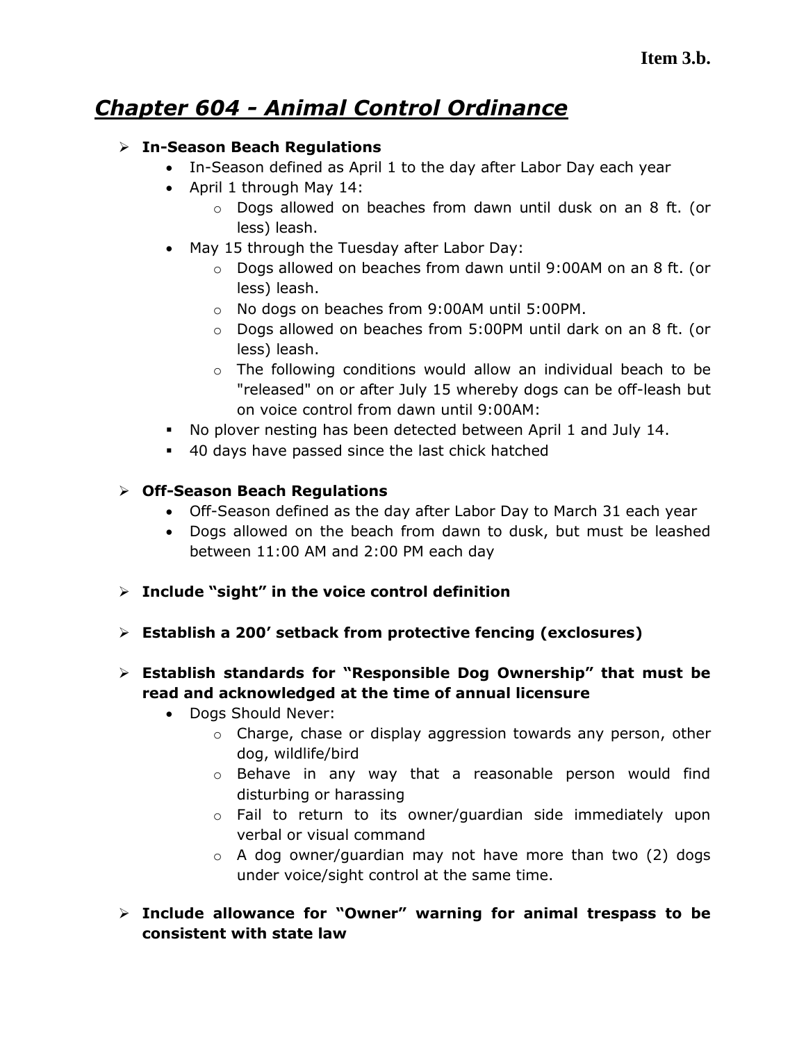# *Chapter 604 - Animal Control Ordinance*

### **In-Season Beach Regulations**

- In-Season defined as April 1 to the day after Labor Day each year
- April 1 through May 14:
	- $\circ$  Dogs allowed on beaches from dawn until dusk on an 8 ft. (or less) leash.
- May 15 through the Tuesday after Labor Day:
	- $\circ$  Dogs allowed on beaches from dawn until 9:00AM on an 8 ft. (or less) leash.
	- o No dogs on beaches from 9:00AM until 5:00PM.
	- $\circ$  Dogs allowed on beaches from 5:00PM until dark on an 8 ft. (or less) leash.
	- o The following conditions would allow an individual beach to be "released" on or after July 15 whereby dogs can be off-leash but on voice control from dawn until 9:00AM:
- No plover nesting has been detected between April 1 and July 14.
- 40 days have passed since the last chick hatched

#### **Off-Season Beach Regulations**

- Off-Season defined as the day after Labor Day to March 31 each year
- Dogs allowed on the beach from dawn to dusk, but must be leashed between 11:00 AM and 2:00 PM each day
- **Include "sight" in the voice control definition**
- **Establish a 200' setback from protective fencing (exclosures)**

## **Establish standards for "Responsible Dog Ownership" that must be read and acknowledged at the time of annual licensure**

- Dogs Should Never:
	- o Charge, chase or display aggression towards any person, other dog, wildlife/bird
	- o Behave in any way that a reasonable person would find disturbing or harassing
	- o Fail to return to its owner/guardian side immediately upon verbal or visual command
	- $\circ$  A dog owner/guardian may not have more than two (2) dogs under voice/sight control at the same time.

### **Include allowance for "Owner" warning for animal trespass to be consistent with state law**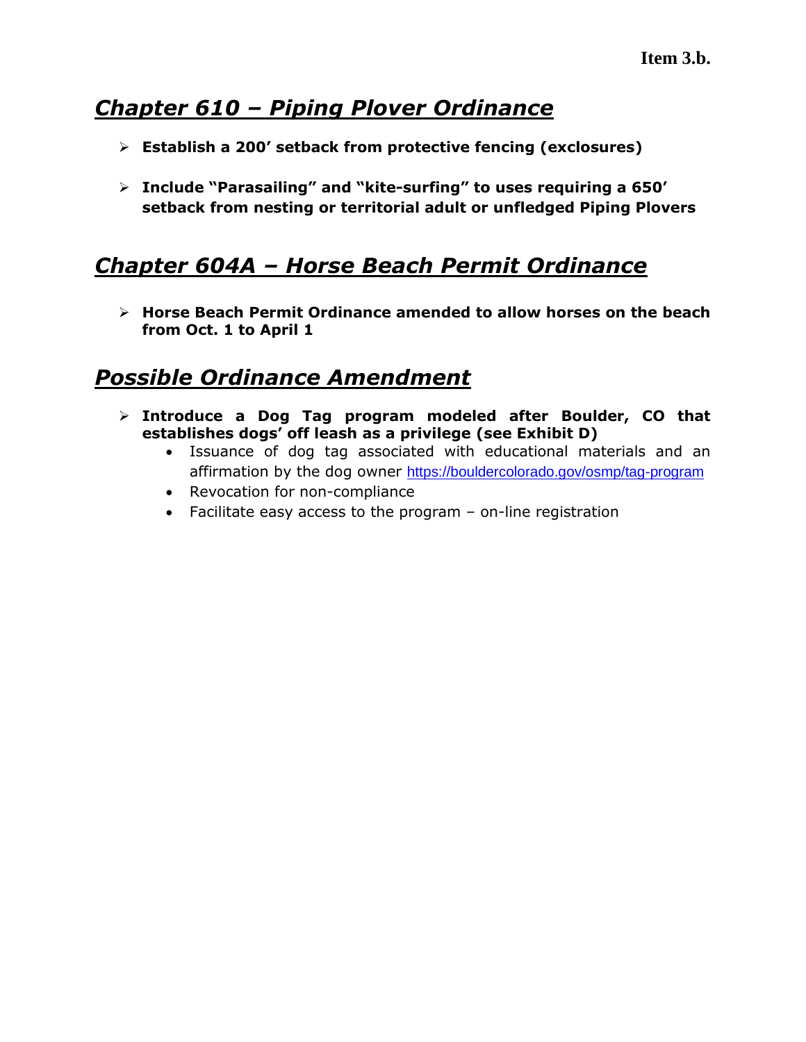# *Chapter 610 – Piping Plover Ordinance*

- **Establish a 200' setback from protective fencing (exclosures)**
- **Include "Parasailing" and "kite-surfing" to uses requiring a 650' setback from nesting or territorial adult or unfledged Piping Plovers**

# *Chapter 604A – Horse Beach Permit Ordinance*

 **Horse Beach Permit Ordinance amended to allow horses on the beach from Oct. 1 to April 1**

# *Possible Ordinance Amendment*

- **Introduce a Dog Tag program modeled after Boulder, CO that establishes dogs' off leash as a privilege (see Exhibit D)**
	- Issuance of dog tag associated with educational materials and an affirmation by the dog owner <https://bouldercolorado.gov/osmp/tag-program>
	- Revocation for non-compliance
	- Facilitate easy access to the program on-line registration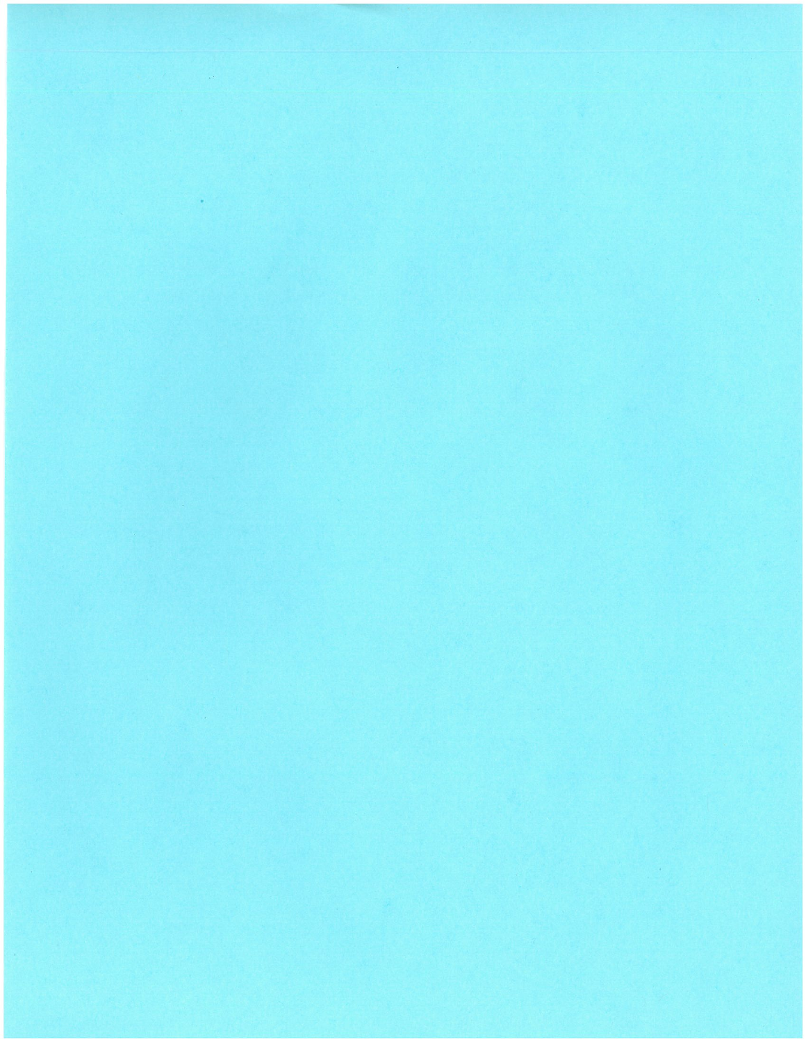